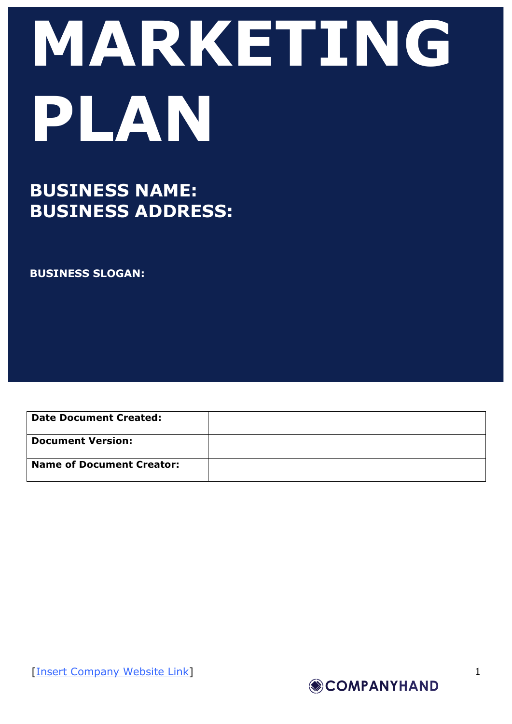# **MARKETING PLAN**

## **BUSINESS NAME: BUSINESS ADDRESS:**

**BUSINESS SLOGAN:**

**Date Document Created: Document Version: Name of Document Creator:**

[Insert Company Website Link]

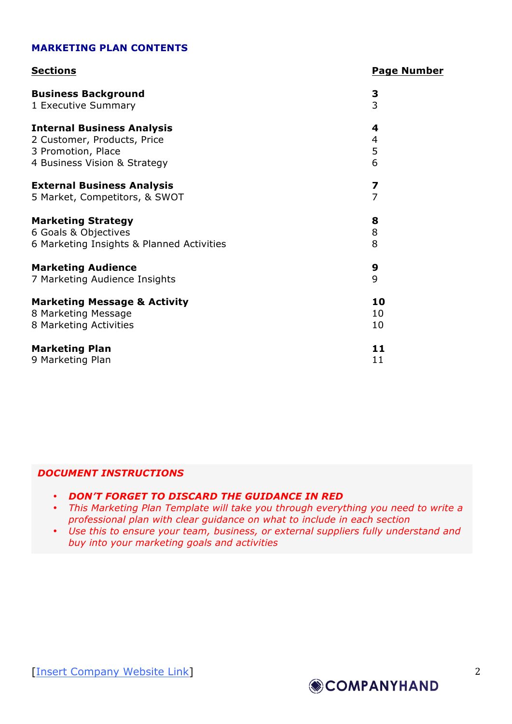#### **MARKETING PLAN CONTENTS**

| <b>Sections</b>                           | <b>Page Number</b> |
|-------------------------------------------|--------------------|
| <b>Business Background</b>                | 3                  |
| 1 Executive Summary                       | 3                  |
| <b>Internal Business Analysis</b>         | 4                  |
| 2 Customer, Products, Price               | 4                  |
| 3 Promotion, Place                        | 5                  |
| 4 Business Vision & Strategy              | 6                  |
| <b>External Business Analysis</b>         | 7                  |
| 5 Market, Competitors, & SWOT             | $\overline{7}$     |
| <b>Marketing Strategy</b>                 | 8                  |
| 6 Goals & Objectives                      | 8                  |
| 6 Marketing Insights & Planned Activities | 8                  |
| <b>Marketing Audience</b>                 | 9                  |
| 7 Marketing Audience Insights             | 9                  |
| <b>Marketing Message &amp; Activity</b>   | 10                 |
| 8 Marketing Message                       | 10                 |
| 8 Marketing Activities                    | 10                 |
| <b>Marketing Plan</b>                     | 11                 |
| 9 Marketing Plan                          | 11                 |

#### *DOCUMENT INSTRUCTIONS*

- *DON'T FORGET TO DISCARD THE GUIDANCE IN RED*
- *This Marketing Plan Template will take you through everything you need to write a professional plan with clear guidance on what to include in each section*
- *Use this to ensure your team, business, or external suppliers fully understand and buy into your marketing goals and activities*